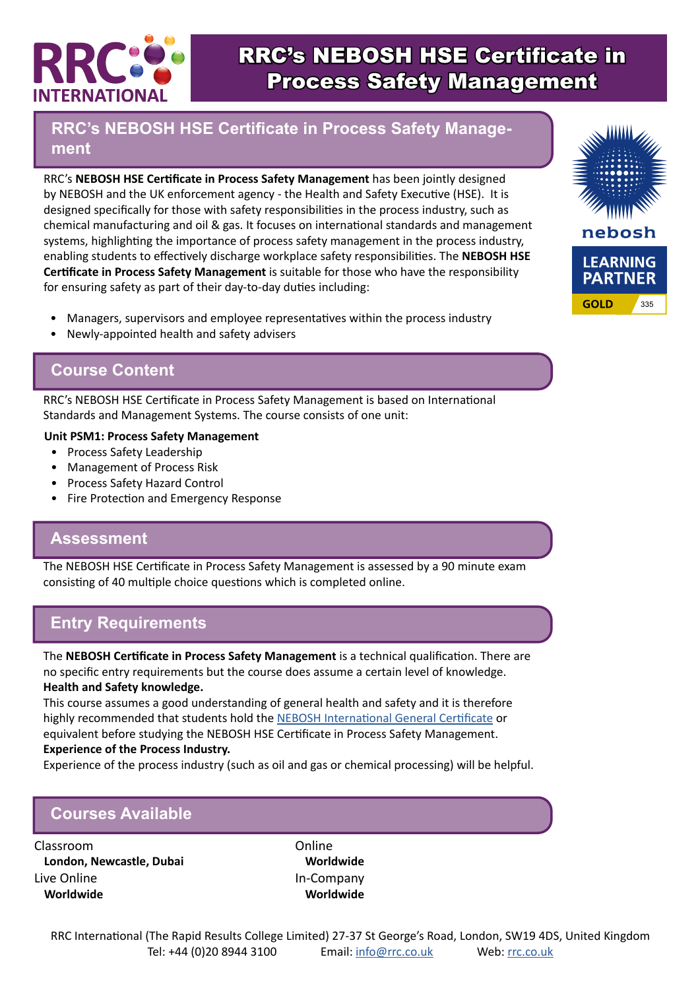

# RRC's NEBOSH HSE Certificate in Process Safety Management

## **RRC's NEBOSH HSE Certificate in Process Safety Management**

RRC's **NEBOSH HSE Certificate in Process Safety Management** has been jointly designed by NEBOSH and the UK enforcement agency - the Health and Safety Executive (HSE). It is designed specifically for those with safety responsibilities in the process industry, such as chemical manufacturing and oil & gas. It focuses on international standards and management systems, highlighting the importance of process safety management in the process industry, enabling students to effectively discharge workplace safety responsibilities. The **NEBOSH HSE Certificate in Process Safety Management** is suitable for those who have the responsibility for ensuring safety as part of their day-to-day duties including:

- Managers, supervisors and employee representatives within the process industry
- Newly-appointed health and safety advisers

# **Course Content**

RRC's NEBOSH HSE Certificate in Process Safety Management is based on International Standards and Management Systems. The course consists of one unit:

#### **Unit PSM1: Process Safety Management**

- Process Safety Leadership
- Management of Process Risk
- Process Safety Hazard Control
- Fire Protection and Emergency Response

### **Assessment**

The NEBOSH HSE Certificate in Process Safety Management is assessed by a 90 minute exam consisting of 40 multiple choice questions which is completed online.

# **Entry Requirements**

The **NEBOSH Certificate in Process Safety Management** is a technical qualification. There are no specific entry requirements but the course does assume a certain level of knowledge. **Health and Safety knowledge.**

This course assumes a good understanding of general health and safety and it is therefore highly recommended that students hold the [NEBOSH International General Certificate](https://www.rrc.co.uk/nebosh/nebosh-certificate/nebosh-international-certificate.aspx) or equivalent before studying the NEBOSH HSE Certificate in Process Safety Management.

#### **Experience of the Process Industry.**

Experience of the process industry (such as oil and gas or chemical processing) will be helpful.

# **Courses Available**

Classroom **London, Newcastle, Dubai** Live Online **Worldwide**

Online **Worldwide** In-Company **Worldwide**